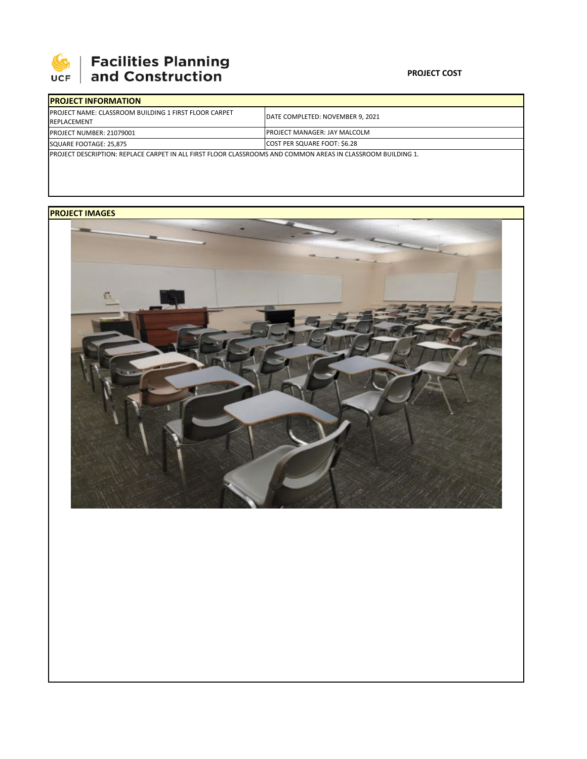

## **PROJECT COST**

| <b>IPROJECT INFORMATION</b>                                                                                  |                                      |  |  |  |
|--------------------------------------------------------------------------------------------------------------|--------------------------------------|--|--|--|
| <b>IPROJECT NAME: CLASSROOM BUILDING 1 FIRST FLOOR CARPET</b><br><b>REPLACEMENT</b>                          | DATE COMPLETED: NOVEMBER 9. 2021     |  |  |  |
| <b>PROJECT NUMBER: 21079001</b>                                                                              | <b>IPROJECT MANAGER: JAY MALCOLM</b> |  |  |  |
| SQUARE FOOTAGE: 25.875                                                                                       | COST PER SQUARE FOOT: \$6.28         |  |  |  |
| IPROJECT DESCRIPTION: REPLACE CARPET IN ALL FIRST FLOOR CLASSROOMS AND COMMON AREAS IN CLASSROOM BUILDING 1. |                                      |  |  |  |

## **PROJECT IMAGES**